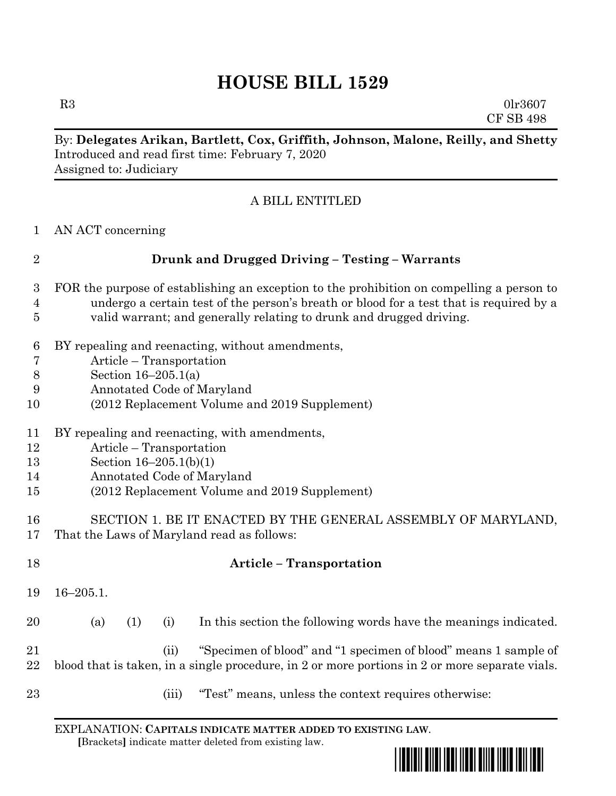# **HOUSE BILL 1529**

 $R3$  0lr3607 CF SB 498

## By: **Delegates Arikan, Bartlett, Cox, Griffith, Johnson, Malone, Reilly, and Shetty** Introduced and read first time: February 7, 2020 Assigned to: Judiciary

## A BILL ENTITLED

AN ACT concerning

| <b>Drunk and Drugged Driving - Testing - Warrants</b> |
|-------------------------------------------------------|
|                                                       |

- FOR the purpose of establishing an exception to the prohibition on compelling a person to undergo a certain test of the person's breath or blood for a test that is required by a valid warrant; and generally relating to drunk and drugged driving.
- BY repealing and reenacting, without amendments,
- Article Transportation
- Section 16–205.1(a)
- Annotated Code of Maryland
- (2012 Replacement Volume and 2019 Supplement)
- BY repealing and reenacting, with amendments,
- Article Transportation
- Section 16–205.1(b)(1)
- Annotated Code of Maryland
- (2012 Replacement Volume and 2019 Supplement)
- SECTION 1. BE IT ENACTED BY THE GENERAL ASSEMBLY OF MARYLAND, That the Laws of Maryland read as follows:
- **Article – Transportation** 16–205.1. (a) (1) (i) In this section the following words have the meanings indicated. (ii) "Specimen of blood" and "1 specimen of blood" means 1 sample of blood that is taken, in a single procedure, in 2 or more portions in 2 or more separate vials. (iii) "Test" means, unless the context requires otherwise:

EXPLANATION: **CAPITALS INDICATE MATTER ADDED TO EXISTING LAW**.  **[**Brackets**]** indicate matter deleted from existing law.

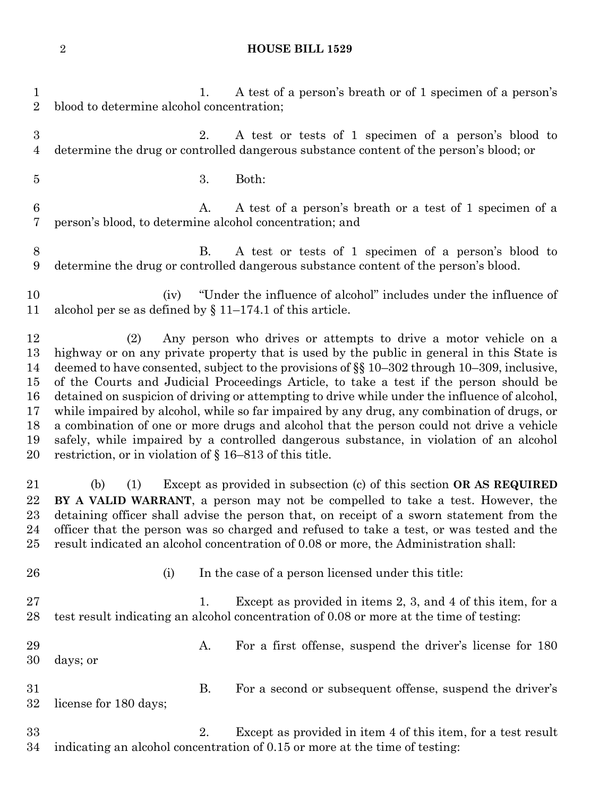#### **HOUSE BILL 1529**

1. A test of a person's breath or of 1 specimen of a person's blood to determine alcohol concentration; 2. A test or tests of 1 specimen of a person's blood to determine the drug or controlled dangerous substance content of the person's blood; or 3. Both: 6 A. A test of a person's breath or a test of 1 specimen of a person's blood, to determine alcohol concentration; and B. A test or tests of 1 specimen of a person's blood to determine the drug or controlled dangerous substance content of the person's blood. (iv) "Under the influence of alcohol" includes under the influence of alcohol per se as defined by § 11–174.1 of this article. (2) Any person who drives or attempts to drive a motor vehicle on a highway or on any private property that is used by the public in general in this State is deemed to have consented, subject to the provisions of §§ 10–302 through 10–309, inclusive, of the Courts and Judicial Proceedings Article, to take a test if the person should be detained on suspicion of driving or attempting to drive while under the influence of alcohol, while impaired by alcohol, while so far impaired by any drug, any combination of drugs, or a combination of one or more drugs and alcohol that the person could not drive a vehicle safely, while impaired by a controlled dangerous substance, in violation of an alcohol restriction, or in violation of § 16–813 of this title. (b) (1) Except as provided in subsection (c) of this section **OR AS REQUIRED BY A VALID WARRANT**, a person may not be compelled to take a test. However, the detaining officer shall advise the person that, on receipt of a sworn statement from the officer that the person was so charged and refused to take a test, or was tested and the result indicated an alcohol concentration of 0.08 or more, the Administration shall: 26 (i) In the case of a person licensed under this title: 27 1. Except as provided in items 2, 3, and 4 of this item, for a test result indicating an alcohol concentration of 0.08 or more at the time of testing: 29 A. For a first offense, suspend the driver's license for 180 days; or B. For a second or subsequent offense, suspend the driver's license for 180 days; 2. Except as provided in item 4 of this item, for a test result indicating an alcohol concentration of 0.15 or more at the time of testing: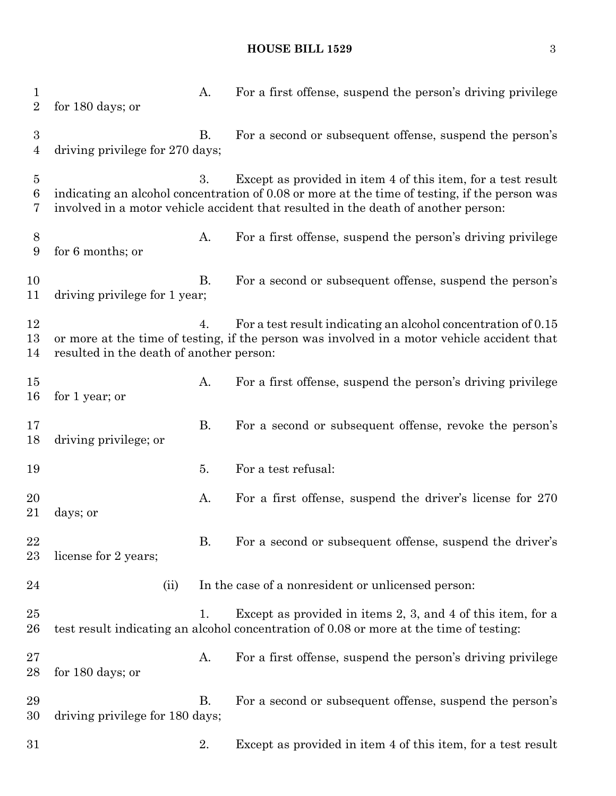### **HOUSE BILL 1529** 3

| $\mathbf{1}$<br>$\overline{2}$ | for 180 days; or                         | A.        | For a first offense, suspend the person's driving privilege                                                                                                                                                                                         |
|--------------------------------|------------------------------------------|-----------|-----------------------------------------------------------------------------------------------------------------------------------------------------------------------------------------------------------------------------------------------------|
| $\boldsymbol{3}$<br>4          | driving privilege for 270 days;          | В.        | For a second or subsequent offense, suspend the person's                                                                                                                                                                                            |
| $\overline{5}$<br>6<br>7       |                                          | 3.        | Except as provided in item 4 of this item, for a test result<br>indicating an alcohol concentration of 0.08 or more at the time of testing, if the person was<br>involved in a motor vehicle accident that resulted in the death of another person: |
| 8<br>9                         | for 6 months; or                         | A.        | For a first offense, suspend the person's driving privilege                                                                                                                                                                                         |
| 10<br>11                       | driving privilege for 1 year;            | В.        | For a second or subsequent offense, suspend the person's                                                                                                                                                                                            |
| 12<br>13<br>14                 | resulted in the death of another person: | 4.        | For a test result indicating an alcohol concentration of 0.15<br>or more at the time of testing, if the person was involved in a motor vehicle accident that                                                                                        |
| 15<br>16                       | for 1 year; or                           | Α.        | For a first offense, suspend the person's driving privilege                                                                                                                                                                                         |
| 17<br>18                       | driving privilege; or                    | <b>B.</b> | For a second or subsequent offense, revoke the person's                                                                                                                                                                                             |
| 19                             |                                          | 5.        | For a test refusal:                                                                                                                                                                                                                                 |
| 20<br>21                       | days; or                                 | A.        | For a first offense, suspend the driver's license for 270                                                                                                                                                                                           |
| 22<br>23                       | license for 2 years;                     | <b>B.</b> | For a second or subsequent offense, suspend the driver's                                                                                                                                                                                            |
| 24                             | (ii)                                     |           | In the case of a nonresident or unlicensed person:                                                                                                                                                                                                  |
| 25<br>26                       |                                          | 1.        | Except as provided in items 2, 3, and 4 of this item, for a<br>test result indicating an alcohol concentration of 0.08 or more at the time of testing:                                                                                              |
| 27<br>$^{28}$                  | for 180 days; or                         | A.        | For a first offense, suspend the person's driving privilege                                                                                                                                                                                         |
| 29<br>30                       | driving privilege for 180 days;          | <b>B.</b> | For a second or subsequent offense, suspend the person's                                                                                                                                                                                            |
| $31\,$                         |                                          | 2.        | Except as provided in item 4 of this item, for a test result                                                                                                                                                                                        |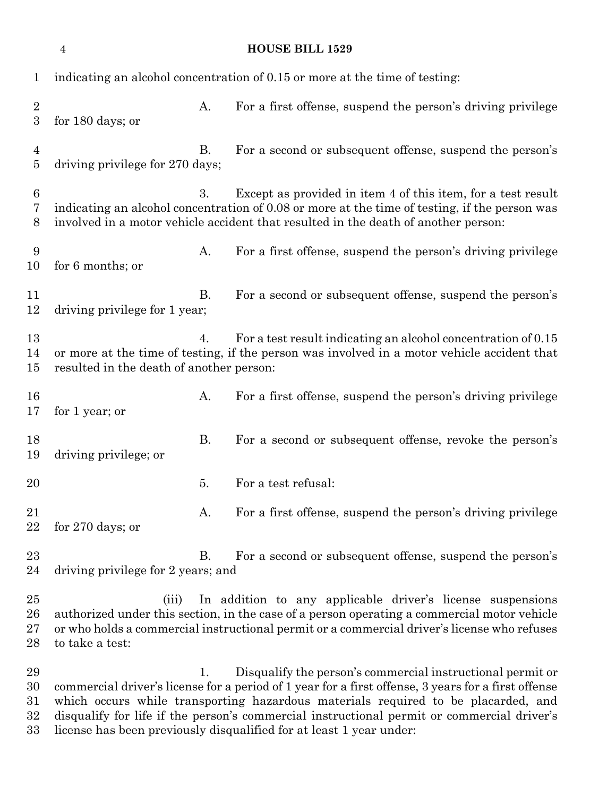|                                        | $\overline{4}$                                                                                                                                                                                                                                                                       |           | <b>HOUSE BILL 1529</b>                                                                                                                                                                                                                                                                                                                                                                                                      |  |  |  |
|----------------------------------------|--------------------------------------------------------------------------------------------------------------------------------------------------------------------------------------------------------------------------------------------------------------------------------------|-----------|-----------------------------------------------------------------------------------------------------------------------------------------------------------------------------------------------------------------------------------------------------------------------------------------------------------------------------------------------------------------------------------------------------------------------------|--|--|--|
| 1                                      | indicating an alcohol concentration of 0.15 or more at the time of testing:                                                                                                                                                                                                          |           |                                                                                                                                                                                                                                                                                                                                                                                                                             |  |  |  |
| $\boldsymbol{2}$<br>3                  | for 180 days; or                                                                                                                                                                                                                                                                     | A.        | For a first offense, suspend the person's driving privilege                                                                                                                                                                                                                                                                                                                                                                 |  |  |  |
| $\overline{4}$<br>5                    | driving privilege for 270 days;                                                                                                                                                                                                                                                      | В.        | For a second or subsequent offense, suspend the person's                                                                                                                                                                                                                                                                                                                                                                    |  |  |  |
| 6<br>7<br>8                            | Except as provided in item 4 of this item, for a test result<br>3.<br>indicating an alcohol concentration of 0.08 or more at the time of testing, if the person was<br>involved in a motor vehicle accident that resulted in the death of another person:                            |           |                                                                                                                                                                                                                                                                                                                                                                                                                             |  |  |  |
| 9<br>10                                | for 6 months; or                                                                                                                                                                                                                                                                     | А.        | For a first offense, suspend the person's driving privilege                                                                                                                                                                                                                                                                                                                                                                 |  |  |  |
| 11<br>12                               | driving privilege for 1 year;                                                                                                                                                                                                                                                        | <b>B.</b> | For a second or subsequent offense, suspend the person's                                                                                                                                                                                                                                                                                                                                                                    |  |  |  |
| 13<br>14<br>$15\,$                     | For a test result indicating an alcohol concentration of 0.15<br>4.<br>or more at the time of testing, if the person was involved in a motor vehicle accident that<br>resulted in the death of another person:                                                                       |           |                                                                                                                                                                                                                                                                                                                                                                                                                             |  |  |  |
| 16<br>17                               | for 1 year; or                                                                                                                                                                                                                                                                       | А.        | For a first offense, suspend the person's driving privilege                                                                                                                                                                                                                                                                                                                                                                 |  |  |  |
| 18<br>19                               | driving privilege; or                                                                                                                                                                                                                                                                | <b>B.</b> | For a second or subsequent offense, revoke the person's                                                                                                                                                                                                                                                                                                                                                                     |  |  |  |
| 20                                     |                                                                                                                                                                                                                                                                                      | 5.        | For a test refusal:                                                                                                                                                                                                                                                                                                                                                                                                         |  |  |  |
| 21<br>22                               | for $270$ days; or                                                                                                                                                                                                                                                                   | А.        | For a first offense, suspend the person's driving privilege                                                                                                                                                                                                                                                                                                                                                                 |  |  |  |
| 23<br>24                               | Β.<br>For a second or subsequent offense, suspend the person's<br>driving privilege for 2 years; and                                                                                                                                                                                 |           |                                                                                                                                                                                                                                                                                                                                                                                                                             |  |  |  |
| 25<br>26<br>27<br>28                   | In addition to any applicable driver's license suspensions<br>(iii)<br>authorized under this section, in the case of a person operating a commercial motor vehicle<br>or who holds a commercial instructional permit or a commercial driver's license who refuses<br>to take a test: |           |                                                                                                                                                                                                                                                                                                                                                                                                                             |  |  |  |
| 29<br>30<br>$31\,$<br>$32\,$<br>$33\,$ |                                                                                                                                                                                                                                                                                      | 1.        | Disqualify the person's commercial instructional permit or<br>commercial driver's license for a period of 1 year for a first offense, 3 years for a first offense<br>which occurs while transporting hazardous materials required to be placarded, and<br>disqualify for life if the person's commercial instructional permit or commercial driver's<br>license has been previously disqualified for at least 1 year under: |  |  |  |